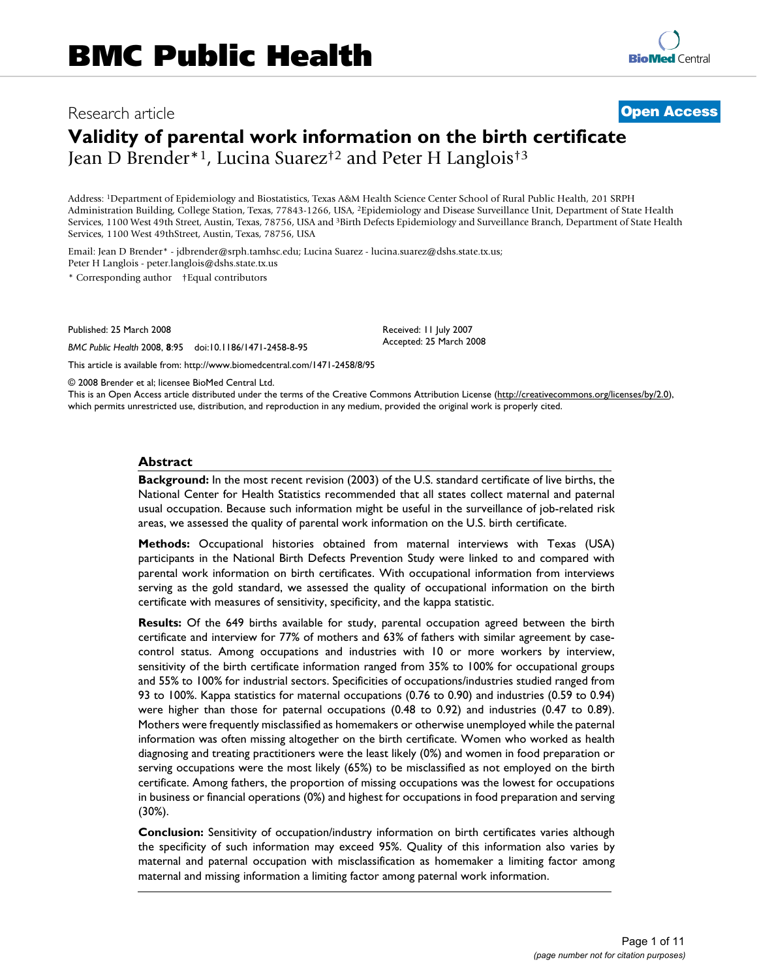# Research article **[Open Access](http://www.biomedcentral.com/info/about/charter/) Validity of parental work information on the birth certificate** Jean D Brender\*1, Lucina Suarez†2 and Peter H Langlois†3

Address: 1Department of Epidemiology and Biostatistics, Texas A&M Health Science Center School of Rural Public Health, 201 SRPH Administration Building, College Station, Texas, 77843-1266, USA, 2Epidemiology and Disease Surveillance Unit, Department of State Health Services, 1100 West 49th Street, Austin, Texas, 78756, USA and 3Birth Defects Epidemiology and Surveillance Branch, Department of State Health Services, 1100 West 49thStreet, Austin, Texas, 78756, USA

Email: Jean D Brender\* - jdbrender@srph.tamhsc.edu; Lucina Suarez - lucina.suarez@dshs.state.tx.us; Peter H Langlois - peter.langlois@dshs.state.tx.us

\* Corresponding author †Equal contributors

Published: 25 March 2008

*BMC Public Health* 2008, **8**:95 doi:10.1186/1471-2458-8-95

[This article is available from: http://www.biomedcentral.com/1471-2458/8/95](http://www.biomedcentral.com/1471-2458/8/95)

© 2008 Brender et al; licensee BioMed Central Ltd.

This is an Open Access article distributed under the terms of the Creative Commons Attribution License [\(http://creativecommons.org/licenses/by/2.0\)](http://creativecommons.org/licenses/by/2.0), which permits unrestricted use, distribution, and reproduction in any medium, provided the original work is properly cited.

Received: 11 July 2007 Accepted: 25 March 2008

#### **Abstract**

**Background:** In the most recent revision (2003) of the U.S. standard certificate of live births, the National Center for Health Statistics recommended that all states collect maternal and paternal usual occupation. Because such information might be useful in the surveillance of job-related risk areas, we assessed the quality of parental work information on the U.S. birth certificate.

**Methods:** Occupational histories obtained from maternal interviews with Texas (USA) participants in the National Birth Defects Prevention Study were linked to and compared with parental work information on birth certificates. With occupational information from interviews serving as the gold standard, we assessed the quality of occupational information on the birth certificate with measures of sensitivity, specificity, and the kappa statistic.

**Results:** Of the 649 births available for study, parental occupation agreed between the birth certificate and interview for 77% of mothers and 63% of fathers with similar agreement by casecontrol status. Among occupations and industries with 10 or more workers by interview, sensitivity of the birth certificate information ranged from 35% to 100% for occupational groups and 55% to 100% for industrial sectors. Specificities of occupations/industries studied ranged from 93 to 100%. Kappa statistics for maternal occupations (0.76 to 0.90) and industries (0.59 to 0.94) were higher than those for paternal occupations (0.48 to 0.92) and industries (0.47 to 0.89). Mothers were frequently misclassified as homemakers or otherwise unemployed while the paternal information was often missing altogether on the birth certificate. Women who worked as health diagnosing and treating practitioners were the least likely (0%) and women in food preparation or serving occupations were the most likely (65%) to be misclassified as not employed on the birth certificate. Among fathers, the proportion of missing occupations was the lowest for occupations in business or financial operations (0%) and highest for occupations in food preparation and serving (30%).

**Conclusion:** Sensitivity of occupation/industry information on birth certificates varies although the specificity of such information may exceed 95%. Quality of this information also varies by maternal and paternal occupation with misclassification as homemaker a limiting factor among maternal and missing information a limiting factor among paternal work information.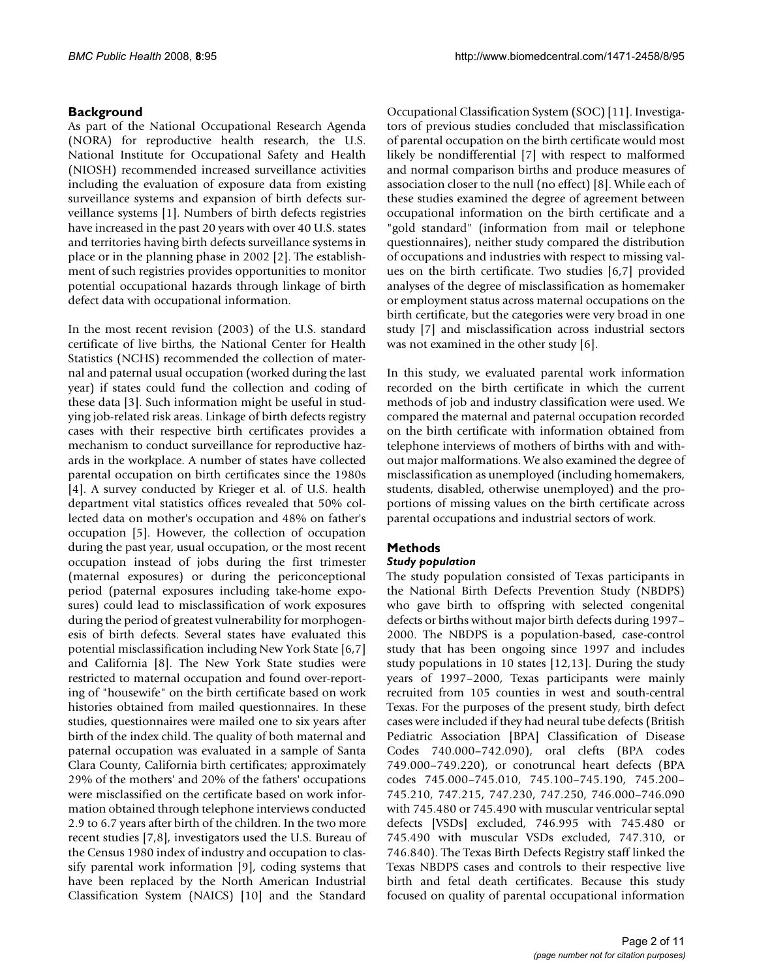# **Background**

As part of the National Occupational Research Agenda (NORA) for reproductive health research, the U.S. National Institute for Occupational Safety and Health (NIOSH) recommended increased surveillance activities including the evaluation of exposure data from existing surveillance systems and expansion of birth defects surveillance systems [1]. Numbers of birth defects registries have increased in the past 20 years with over 40 U.S. states and territories having birth defects surveillance systems in place or in the planning phase in 2002 [2]. The establishment of such registries provides opportunities to monitor potential occupational hazards through linkage of birth defect data with occupational information.

In the most recent revision (2003) of the U.S. standard certificate of live births, the National Center for Health Statistics (NCHS) recommended the collection of maternal and paternal usual occupation (worked during the last year) if states could fund the collection and coding of these data [3]. Such information might be useful in studying job-related risk areas. Linkage of birth defects registry cases with their respective birth certificates provides a mechanism to conduct surveillance for reproductive hazards in the workplace. A number of states have collected parental occupation on birth certificates since the 1980s [4]. A survey conducted by Krieger et al. of U.S. health department vital statistics offices revealed that 50% collected data on mother's occupation and 48% on father's occupation [5]. However, the collection of occupation during the past year, usual occupation, or the most recent occupation instead of jobs during the first trimester (maternal exposures) or during the periconceptional period (paternal exposures including take-home exposures) could lead to misclassification of work exposures during the period of greatest vulnerability for morphogenesis of birth defects. Several states have evaluated this potential misclassification including New York State [6,7] and California [8]. The New York State studies were restricted to maternal occupation and found over-reporting of "housewife" on the birth certificate based on work histories obtained from mailed questionnaires. In these studies, questionnaires were mailed one to six years after birth of the index child. The quality of both maternal and paternal occupation was evaluated in a sample of Santa Clara County, California birth certificates; approximately 29% of the mothers' and 20% of the fathers' occupations were misclassified on the certificate based on work information obtained through telephone interviews conducted 2.9 to 6.7 years after birth of the children. In the two more recent studies [7,8], investigators used the U.S. Bureau of the Census 1980 index of industry and occupation to classify parental work information [9], coding systems that have been replaced by the North American Industrial Classification System (NAICS) [10] and the Standard

Occupational Classification System (SOC) [11]. Investigators of previous studies concluded that misclassification of parental occupation on the birth certificate would most likely be nondifferential [7] with respect to malformed and normal comparison births and produce measures of association closer to the null (no effect) [8]. While each of these studies examined the degree of agreement between occupational information on the birth certificate and a "gold standard" (information from mail or telephone questionnaires), neither study compared the distribution of occupations and industries with respect to missing values on the birth certificate. Two studies [6,7] provided analyses of the degree of misclassification as homemaker or employment status across maternal occupations on the birth certificate, but the categories were very broad in one study [7] and misclassification across industrial sectors was not examined in the other study [6].

In this study, we evaluated parental work information recorded on the birth certificate in which the current methods of job and industry classification were used. We compared the maternal and paternal occupation recorded on the birth certificate with information obtained from telephone interviews of mothers of births with and without major malformations. We also examined the degree of misclassification as unemployed (including homemakers, students, disabled, otherwise unemployed) and the proportions of missing values on the birth certificate across parental occupations and industrial sectors of work.

# **Methods**

# *Study population*

The study population consisted of Texas participants in the National Birth Defects Prevention Study (NBDPS) who gave birth to offspring with selected congenital defects or births without major birth defects during 1997– 2000. The NBDPS is a population-based, case-control study that has been ongoing since 1997 and includes study populations in 10 states [12,13]. During the study years of 1997–2000, Texas participants were mainly recruited from 105 counties in west and south-central Texas. For the purposes of the present study, birth defect cases were included if they had neural tube defects (British Pediatric Association [BPA] Classification of Disease Codes 740.000–742.090), oral clefts (BPA codes 749.000–749.220), or conotruncal heart defects (BPA codes 745.000–745.010, 745.100–745.190, 745.200– 745.210, 747.215, 747.230, 747.250, 746.000–746.090 with 745.480 or 745.490 with muscular ventricular septal defects [VSDs] excluded, 746.995 with 745.480 or 745.490 with muscular VSDs excluded, 747.310, or 746.840). The Texas Birth Defects Registry staff linked the Texas NBDPS cases and controls to their respective live birth and fetal death certificates. Because this study focused on quality of parental occupational information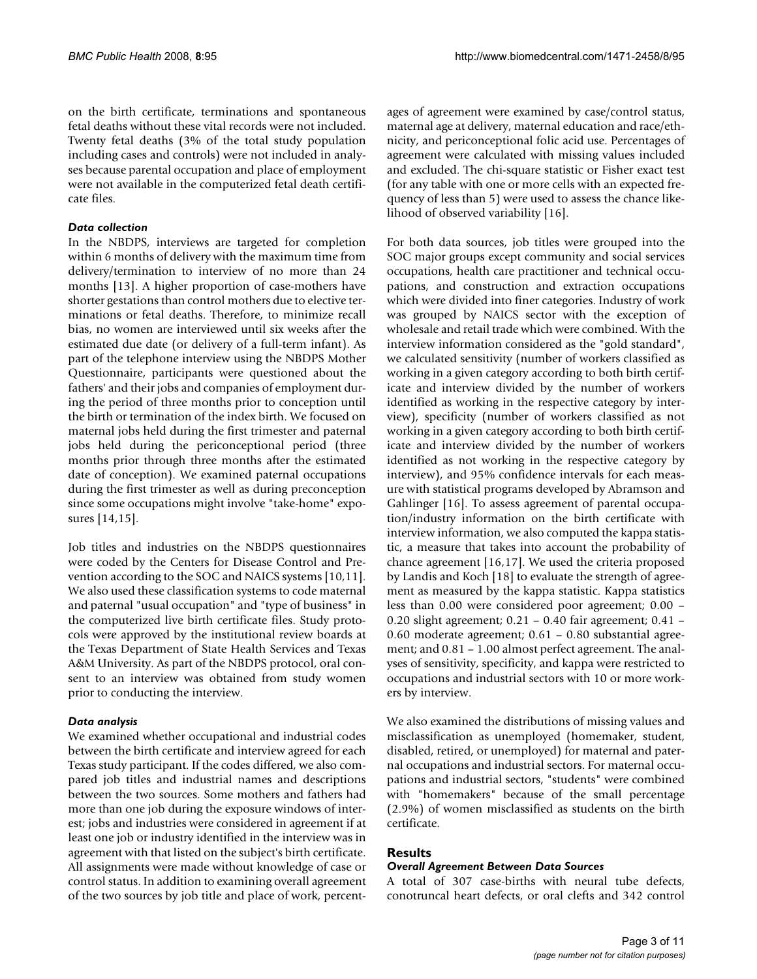on the birth certificate, terminations and spontaneous fetal deaths without these vital records were not included. Twenty fetal deaths (3% of the total study population including cases and controls) were not included in analyses because parental occupation and place of employment were not available in the computerized fetal death certificate files.

# *Data collection*

In the NBDPS, interviews are targeted for completion within 6 months of delivery with the maximum time from delivery/termination to interview of no more than 24 months [13]. A higher proportion of case-mothers have shorter gestations than control mothers due to elective terminations or fetal deaths. Therefore, to minimize recall bias, no women are interviewed until six weeks after the estimated due date (or delivery of a full-term infant). As part of the telephone interview using the NBDPS Mother Questionnaire, participants were questioned about the fathers' and their jobs and companies of employment during the period of three months prior to conception until the birth or termination of the index birth. We focused on maternal jobs held during the first trimester and paternal jobs held during the periconceptional period (three months prior through three months after the estimated date of conception). We examined paternal occupations during the first trimester as well as during preconception since some occupations might involve "take-home" exposures [14,15].

Job titles and industries on the NBDPS questionnaires were coded by the Centers for Disease Control and Prevention according to the SOC and NAICS systems [10,11]. We also used these classification systems to code maternal and paternal "usual occupation" and "type of business" in the computerized live birth certificate files. Study protocols were approved by the institutional review boards at the Texas Department of State Health Services and Texas A&M University. As part of the NBDPS protocol, oral consent to an interview was obtained from study women prior to conducting the interview.

# *Data analysis*

We examined whether occupational and industrial codes between the birth certificate and interview agreed for each Texas study participant. If the codes differed, we also compared job titles and industrial names and descriptions between the two sources. Some mothers and fathers had more than one job during the exposure windows of interest; jobs and industries were considered in agreement if at least one job or industry identified in the interview was in agreement with that listed on the subject's birth certificate. All assignments were made without knowledge of case or control status. In addition to examining overall agreement of the two sources by job title and place of work, percentages of agreement were examined by case/control status, maternal age at delivery, maternal education and race/ethnicity, and periconceptional folic acid use. Percentages of agreement were calculated with missing values included and excluded. The chi-square statistic or Fisher exact test (for any table with one or more cells with an expected frequency of less than 5) were used to assess the chance likelihood of observed variability [16].

For both data sources, job titles were grouped into the SOC major groups except community and social services occupations, health care practitioner and technical occupations, and construction and extraction occupations which were divided into finer categories. Industry of work was grouped by NAICS sector with the exception of wholesale and retail trade which were combined. With the interview information considered as the "gold standard", we calculated sensitivity (number of workers classified as working in a given category according to both birth certificate and interview divided by the number of workers identified as working in the respective category by interview), specificity (number of workers classified as not working in a given category according to both birth certificate and interview divided by the number of workers identified as not working in the respective category by interview), and 95% confidence intervals for each measure with statistical programs developed by Abramson and Gahlinger [16]. To assess agreement of parental occupation/industry information on the birth certificate with interview information, we also computed the kappa statistic, a measure that takes into account the probability of chance agreement [16,17]. We used the criteria proposed by Landis and Koch [18] to evaluate the strength of agreement as measured by the kappa statistic. Kappa statistics less than 0.00 were considered poor agreement; 0.00 – 0.20 slight agreement; 0.21 – 0.40 fair agreement; 0.41 – 0.60 moderate agreement; 0.61 – 0.80 substantial agreement; and 0.81 – 1.00 almost perfect agreement. The analyses of sensitivity, specificity, and kappa were restricted to occupations and industrial sectors with 10 or more workers by interview.

We also examined the distributions of missing values and misclassification as unemployed (homemaker, student, disabled, retired, or unemployed) for maternal and paternal occupations and industrial sectors. For maternal occupations and industrial sectors, "students" were combined with "homemakers" because of the small percentage (2.9%) of women misclassified as students on the birth certificate.

# **Results**

# *Overall Agreement Between Data Sources*

A total of 307 case-births with neural tube defects, conotruncal heart defects, or oral clefts and 342 control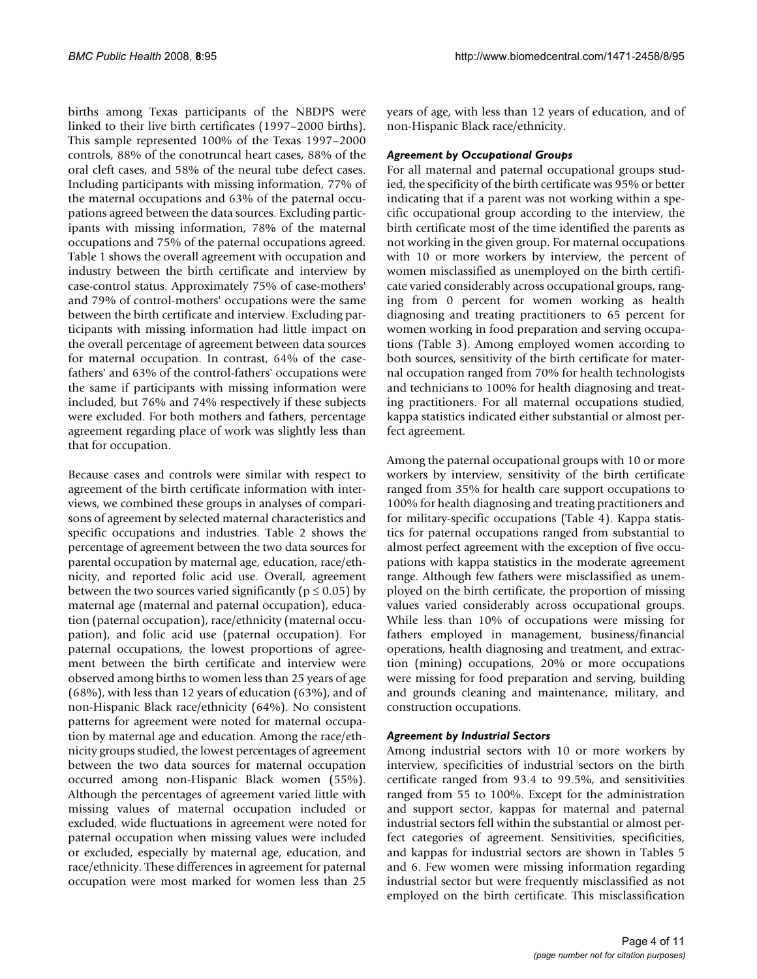births among Texas participants of the NBDPS were linked to their live birth certificates (1997–2000 births). This sample represented 100% of the Texas 1997–2000 controls, 88% of the conotruncal heart cases, 88% of the oral cleft cases, and 58% of the neural tube defect cases. Including participants with missing information, 77% of the maternal occupations and 63% of the paternal occupations agreed between the data sources. Excluding participants with missing information, 78% of the maternal occupations and 75% of the paternal occupations agreed. Table 1 shows the overall agreement with occupation and industry between the birth certificate and interview by case-control status. Approximately 75% of case-mothers' and 79% of control-mothers' occupations were the same between the birth certificate and interview. Excluding participants with missing information had little impact on the overall percentage of agreement between data sources for maternal occupation. In contrast, 64% of the casefathers' and 63% of the control-fathers' occupations were the same if participants with missing information were included, but 76% and 74% respectively if these subjects were excluded. For both mothers and fathers, percentage agreement regarding place of work was slightly less than that for occupation.

Because cases and controls were similar with respect to agreement of the birth certificate information with interviews, we combined these groups in analyses of comparisons of agreement by selected maternal characteristics and specific occupations and industries. Table 2 shows the percentage of agreement between the two data sources for parental occupation by maternal age, education, race/ethnicity, and reported folic acid use. Overall, agreement between the two sources varied significantly ( $p \le 0.05$ ) by maternal age (maternal and paternal occupation), education (paternal occupation), race/ethnicity (maternal occupation), and folic acid use (paternal occupation). For paternal occupations, the lowest proportions of agreement between the birth certificate and interview were observed among births to women less than 25 years of age (68%), with less than 12 years of education (63%), and of non-Hispanic Black race/ethnicity (64%). No consistent patterns for agreement were noted for maternal occupation by maternal age and education. Among the race/ethnicity groups studied, the lowest percentages of agreement between the two data sources for maternal occupation occurred among non-Hispanic Black women (55%). Although the percentages of agreement varied little with missing values of maternal occupation included or excluded, wide fluctuations in agreement were noted for paternal occupation when missing values were included or excluded, especially by maternal age, education, and race/ethnicity. These differences in agreement for paternal occupation were most marked for women less than 25

years of age, with less than 12 years of education, and of non-Hispanic Black race/ethnicity.

# *Agreement by Occupational Groups*

For all maternal and paternal occupational groups studied, the specificity of the birth certificate was 95% or better indicating that if a parent was not working within a specific occupational group according to the interview, the birth certificate most of the time identified the parents as not working in the given group. For maternal occupations with 10 or more workers by interview, the percent of women misclassified as unemployed on the birth certificate varied considerably across occupational groups, ranging from 0 percent for women working as health diagnosing and treating practitioners to 65 percent for women working in food preparation and serving occupations (Table 3). Among employed women according to both sources, sensitivity of the birth certificate for maternal occupation ranged from 70% for health technologists and technicians to 100% for health diagnosing and treating practitioners. For all maternal occupations studied, kappa statistics indicated either substantial or almost perfect agreement.

Among the paternal occupational groups with 10 or more workers by interview, sensitivity of the birth certificate ranged from 35% for health care support occupations to 100% for health diagnosing and treating practitioners and for military-specific occupations (Table 4). Kappa statistics for paternal occupations ranged from substantial to almost perfect agreement with the exception of five occupations with kappa statistics in the moderate agreement range. Although few fathers were misclassified as unemployed on the birth certificate, the proportion of missing values varied considerably across occupational groups. While less than 10% of occupations were missing for fathers employed in management, business/financial operations, health diagnosing and treatment, and extraction (mining) occupations, 20% or more occupations were missing for food preparation and serving, building and grounds cleaning and maintenance, military, and construction occupations.

# *Agreement by Industrial Sectors*

Among industrial sectors with 10 or more workers by interview, specificities of industrial sectors on the birth certificate ranged from 93.4 to 99.5%, and sensitivities ranged from 55 to 100%. Except for the administration and support sector, kappas for maternal and paternal industrial sectors fell within the substantial or almost perfect categories of agreement. Sensitivities, specificities, and kappas for industrial sectors are shown in Tables 5 and 6. Few women were missing information regarding industrial sector but were frequently misclassified as not employed on the birth certificate. This misclassification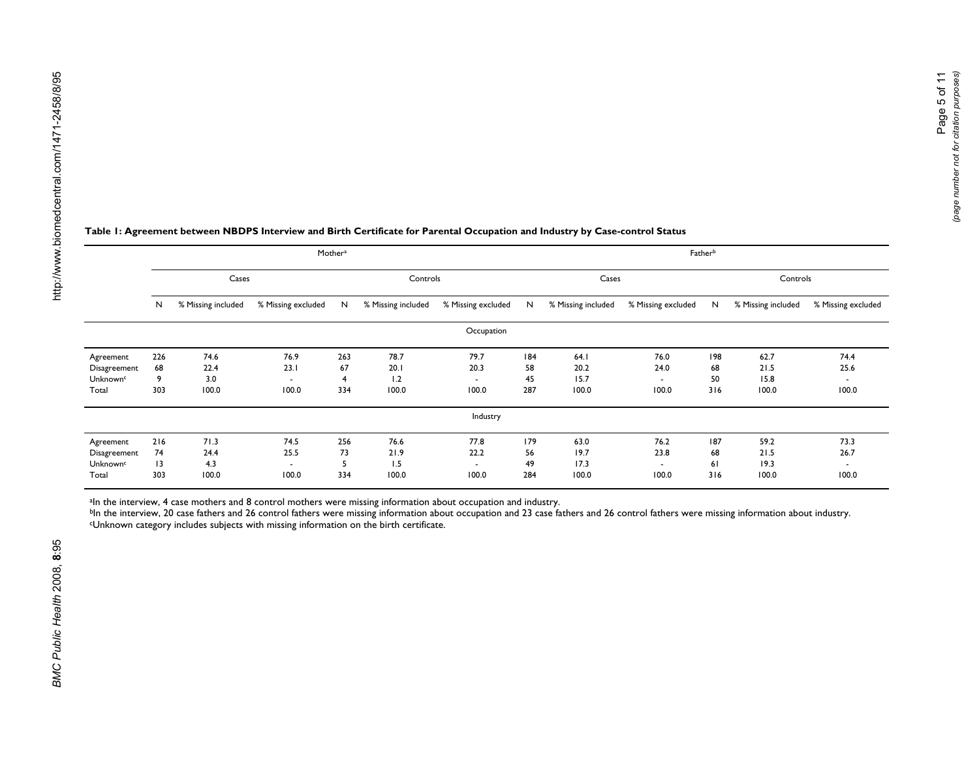| $\cdot$                                                    |                        |                              |                                 |                       |                              |                                                   |                        | . .                           |                                   |                        |                               |                                         |  |  |
|------------------------------------------------------------|------------------------|------------------------------|---------------------------------|-----------------------|------------------------------|---------------------------------------------------|------------------------|-------------------------------|-----------------------------------|------------------------|-------------------------------|-----------------------------------------|--|--|
|                                                            |                        | Mothera                      |                                 |                       |                              |                                                   |                        | Fatherb                       |                                   |                        |                               |                                         |  |  |
|                                                            | Cases                  |                              |                                 | Controls              |                              |                                                   |                        | Cases                         |                                   |                        | Controls                      |                                         |  |  |
|                                                            | N                      | % Missing included           | % Missing excluded              | N                     | % Missing included           | % Missing excluded                                | N                      | % Missing included            | % Missing excluded                | N                      | % Missing included            | % Missing excluded                      |  |  |
|                                                            |                        |                              |                                 |                       |                              | Occupation                                        |                        |                               |                                   |                        |                               |                                         |  |  |
| Agreement<br>Disagreement                                  | 226<br>68              | 74.6<br>22.4                 | 76.9<br>23.1                    | 263<br>67             | 78.7<br>20.1                 | 79.7<br>20.3                                      | 184<br>58              | 64.1<br>20.2                  | 76.0<br>24.0                      | 198<br>68              | 62.7<br>21.5                  | 74.4<br>25.6                            |  |  |
| Unknown <sup>c</sup><br>Total                              | 9<br>303               | 3.0<br>100.0                 | $\sim$<br>100.0                 | 4<br>334              | 1.2<br>100.0                 | $\sim$<br>100.0                                   | 45<br>287              | 15.7<br>100.0                 | $\overline{\phantom{a}}$<br>100.0 | 50<br>316              | 15.8<br>100.0                 | $\overline{\phantom{a}}$<br>100.0       |  |  |
|                                                            |                        |                              |                                 |                       |                              | Industry                                          |                        |                               |                                   |                        |                               |                                         |  |  |
| Agreement<br>Disagreement<br>Unknown <sup>c</sup><br>Total | 216<br>74<br>13<br>303 | 71.3<br>24.4<br>4.3<br>100.0 | 74.5<br>25.5<br>$\sim$<br>100.0 | 256<br>73<br>5<br>334 | 76.6<br>21.9<br>1.5<br>100.0 | 77.8<br>22.2<br>$\overline{\phantom{a}}$<br>100.0 | 179<br>56<br>49<br>284 | 63.0<br>19.7<br>17.3<br>100.0 | 76.2<br>23.8<br>100.0             | 187<br>68<br>61<br>316 | 59.2<br>21.5<br>19.3<br>100.0 | 73.3<br>26.7<br>$\overline{a}$<br>100.0 |  |  |

#### **Table 1: Agreement between NBDPS Interview and Birth Certificate for Parental Occupation and Industry by Case-control Status**

aIn the interview, 4 case mothers and 8 control mothers were missing information about occupation and industry.

<sup>b</sup>In the interview, 20 case fathers and 26 control fathers were missing information about occupation and 23 case fathers and 26 control fathers were missing information about industry. cUnknown category includes subjects with missing information on the birth certificate.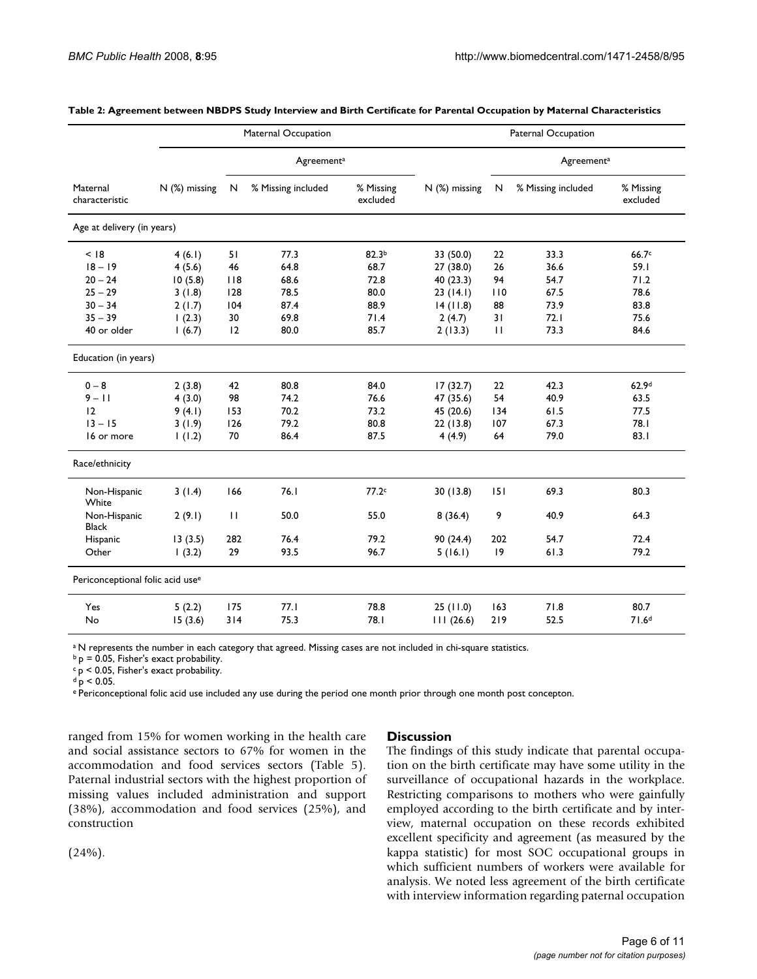|                                              |               |              | Maternal Occupation    |                       |               | Paternal Occupation | % Missing<br>excluded<br>66.7c<br>59.1<br>71.2<br>78.6<br>83.8<br>75.6<br>84.6<br>62.9d<br>63.5<br>77.5<br>78.I<br>83.1 |                   |  |
|----------------------------------------------|---------------|--------------|------------------------|-----------------------|---------------|---------------------|-------------------------------------------------------------------------------------------------------------------------|-------------------|--|
|                                              |               |              | Agreement <sup>a</sup> |                       |               |                     | Agreement <sup>a</sup>                                                                                                  |                   |  |
| Maternal<br>characteristic                   | N (%) missing | N            | % Missing included     | % Missing<br>excluded | N (%) missing | N                   | % Missing included                                                                                                      |                   |  |
| Age at delivery (in years)                   |               |              |                        |                       |               |                     |                                                                                                                         |                   |  |
| < 18                                         | 4(6.1)        | 51           | 77.3                   | 82.3 <sup>b</sup>     | 33 (50.0)     | 22                  | 33.3                                                                                                                    |                   |  |
| $18 - 19$                                    | 4(5.6)        | 46           | 64.8                   | 68.7                  | 27 (38.0)     | 26                  | 36.6                                                                                                                    |                   |  |
| $20 - 24$                                    | 10(5.8)       | 118          | 68.6                   | 72.8                  | 40(23.3)      | 94                  | 54.7                                                                                                                    |                   |  |
| $25 - 29$                                    | 3(1.8)        | 128          | 78.5                   | 80.0                  | 23(14.1)      | 110                 | 67.5                                                                                                                    |                   |  |
| $30 - 34$                                    | 2(1.7)        | 104          | 87.4                   | 88.9                  | 14(11.8)      | 88                  | 73.9                                                                                                                    |                   |  |
| $35 - 39$                                    | (2.3)         | 30           | 69.8                   | 71.4                  | 2(4.7)        | 31                  | 72.1                                                                                                                    |                   |  |
| 40 or older                                  | 1(6.7)        | 12           | 80.0                   | 85.7                  | 2(13.3)       | $\mathbf{H}$        | 73.3                                                                                                                    |                   |  |
| Education (in years)                         |               |              |                        |                       |               |                     |                                                                                                                         |                   |  |
| $0 - 8$                                      | 2(3.8)        | 42           | 80.8                   | 84.0                  | 17(32.7)      | 22                  | 42.3                                                                                                                    |                   |  |
| $9 - 11$                                     | 4(3.0)        | 98           | 74.2                   | 76.6                  | 47 (35.6)     | 54                  | 40.9                                                                                                                    |                   |  |
| 12                                           | 9(4.1)        | 153          | 70.2                   | 73.2                  | 45 (20.6)     | 134                 | 61.5                                                                                                                    |                   |  |
| $13 - 15$                                    | 3(1.9)        | 126          | 79.2                   | 80.8                  | 22 (13.8)     | 107                 | 67.3                                                                                                                    |                   |  |
| 16 or more                                   | 1(1.2)        | 70           | 86.4                   | 87.5                  | 4(4.9)        | 64                  | 79.0                                                                                                                    |                   |  |
| Race/ethnicity                               |               |              |                        |                       |               |                     |                                                                                                                         |                   |  |
| Non-Hispanic<br>White                        | 3(1.4)        | 166          | 76.1                   | 77.2c                 | 30 (13.8)     | 151                 | 69.3                                                                                                                    | 80.3              |  |
| Non-Hispanic<br><b>Black</b>                 | 2(9.1)        | $\mathbf{H}$ | 50.0                   | 55.0                  | 8(36.4)       | 9                   | 40.9                                                                                                                    | 64.3              |  |
| Hispanic                                     | 13(3.5)       | 282          | 76.4                   | 79.2                  | 90 (24.4)     | 202                 | 54.7                                                                                                                    | 72.4              |  |
| Other                                        | 1(3.2)        | 29           | 93.5                   | 96.7                  | 5(16.1)       | 9                   | 61.3                                                                                                                    | 79.2              |  |
| Periconceptional folic acid use <sup>e</sup> |               |              |                        |                       |               |                     |                                                                                                                         |                   |  |
| Yes                                          | 5(2.2)        | 175          | 77.1                   | 78.8                  | 25(11.0)      | 163                 | 71.8                                                                                                                    | 80.7              |  |
| No                                           | 15(3.6)       | 314          | 75.3                   | 78.I                  | 111(26.6)     | 219                 | 52.5                                                                                                                    | 71.6 <sup>d</sup> |  |

#### **Table 2: Agreement between NBDPS Study Interview and Birth Certificate for Parental Occupation by Maternal Characteristics**

a N represents the number in each category that agreed. Missing cases are not included in chi-square statistics.

 $b$  p = 0.05, Fisher's exact probability.

 $c$  p < 0.05, Fisher's exact probability.

 $d_p < 0.05$ .

e Periconceptional folic acid use included any use during the period one month prior through one month post concepton.

ranged from 15% for women working in the health care and social assistance sectors to 67% for women in the accommodation and food services sectors (Table 5). Paternal industrial sectors with the highest proportion of missing values included administration and support (38%), accommodation and food services (25%), and construction

(24%).

#### **Discussion**

The findings of this study indicate that parental occupation on the birth certificate may have some utility in the surveillance of occupational hazards in the workplace. Restricting comparisons to mothers who were gainfully employed according to the birth certificate and by interview, maternal occupation on these records exhibited excellent specificity and agreement (as measured by the kappa statistic) for most SOC occupational groups in which sufficient numbers of workers were available for analysis. We noted less agreement of the birth certificate with interview information regarding paternal occupation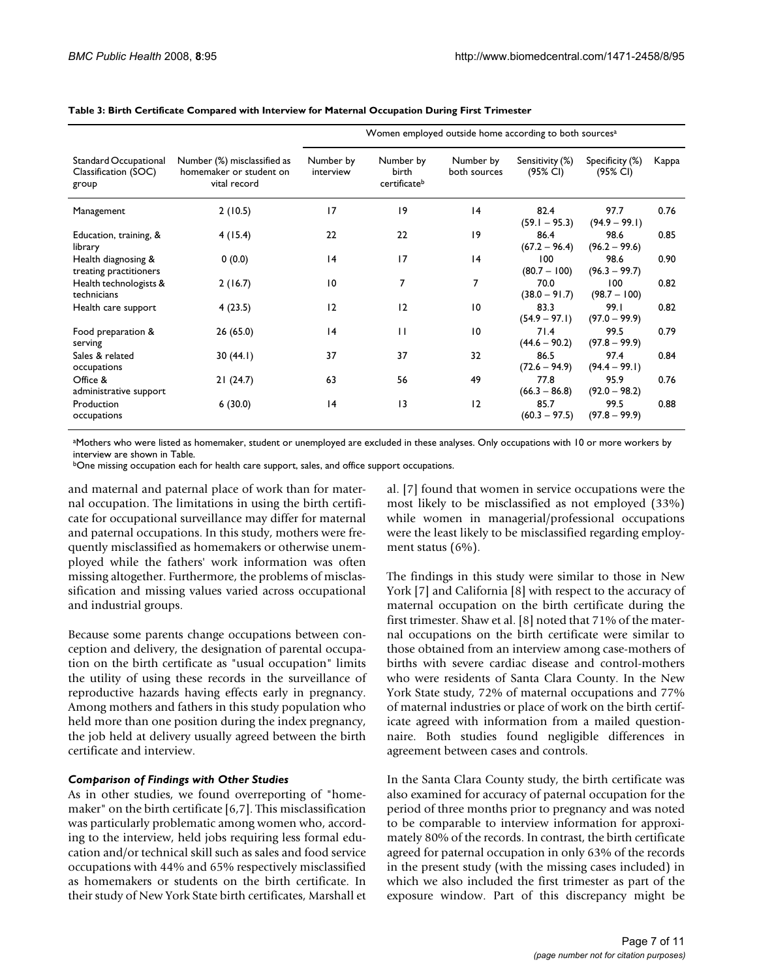|                                                        | Women employed outside home according to both sources <sup>a</sup>     |                        |                                    |                           |                             |                             |       |  |  |
|--------------------------------------------------------|------------------------------------------------------------------------|------------------------|------------------------------------|---------------------------|-----------------------------|-----------------------------|-------|--|--|
| Standard Occupational<br>Classification (SOC)<br>group | Number (%) misclassified as<br>homemaker or student on<br>vital record | Number by<br>interview | Number by<br>birth<br>certificateb | Number by<br>both sources | Sensitivity (%)<br>(95% CI) | Specificity (%)<br>(95% CI) | Kappa |  |  |
| Management                                             | 2(10.5)                                                                | 17                     | 19                                 | 4                         | 82.4<br>$(59.1 - 95.3)$     | 97.7<br>$(94.9 - 99.1)$     | 0.76  |  |  |
| Education, training, &<br>library                      | 4(15.4)                                                                | 22                     | 22                                 | 19                        | 86.4<br>$(67.2 - 96.4)$     | 98.6<br>$(96.2 - 99.6)$     | 0.85  |  |  |
| Health diagnosing &<br>treating practitioners          | 0(0.0)                                                                 | 4                      | 17                                 | 4                         | 100<br>$(80.7 - 100)$       | 98.6<br>$(96.3 - 99.7)$     | 0.90  |  |  |
| Health technologists &<br>technicians                  | 2(16.7)                                                                | $\overline{10}$        | 7                                  | 7                         | 70.0<br>$(38.0 - 91.7)$     | 100<br>$(98.7 - 100)$       | 0.82  |  |  |
| Health care support                                    | 4(23.5)                                                                | 12                     | 12                                 | 10                        | 83.3<br>$(54.9 - 97.1)$     | 99.I<br>$(97.0 - 99.9)$     | 0.82  |  |  |
| Food preparation &<br>serving                          | 26 (65.0)                                                              | 4                      | $\mathbf{H}$                       | 10                        | 71.4<br>$(44.6 - 90.2)$     | 99.5<br>$(97.8 - 99.9)$     | 0.79  |  |  |
| Sales & related<br>occupations                         | 30(44.1)                                                               | 37                     | 37                                 | 32                        | 86.5<br>$(72.6 - 94.9)$     | 97.4<br>$(94.4 - 99.1)$     | 0.84  |  |  |
| Office &<br>administrative support                     | 21(24.7)                                                               | 63                     | 56                                 | 49                        | 77.8<br>$(66.3 - 86.8)$     | 95.9<br>$(92.0 - 98.2)$     | 0.76  |  |  |
| Production<br>occupations                              | 6(30.0)                                                                | 4                      | 13                                 | 12                        | 85.7<br>$(60.3 - 97.5)$     | 99.5<br>$(97.8 - 99.9)$     | 0.88  |  |  |

#### **Table 3: Birth Certificate Compared with Interview for Maternal Occupation During First Trimester**

aMothers who were listed as homemaker, student or unemployed are excluded in these analyses. Only occupations with 10 or more workers by interview are shown in Table.

bOne missing occupation each for health care support, sales, and office support occupations.

and maternal and paternal place of work than for maternal occupation. The limitations in using the birth certificate for occupational surveillance may differ for maternal and paternal occupations. In this study, mothers were frequently misclassified as homemakers or otherwise unemployed while the fathers' work information was often missing altogether. Furthermore, the problems of misclassification and missing values varied across occupational and industrial groups.

Because some parents change occupations between conception and delivery, the designation of parental occupation on the birth certificate as "usual occupation" limits the utility of using these records in the surveillance of reproductive hazards having effects early in pregnancy. Among mothers and fathers in this study population who held more than one position during the index pregnancy, the job held at delivery usually agreed between the birth certificate and interview.

#### *Comparison of Findings with Other Studies*

As in other studies, we found overreporting of "homemaker" on the birth certificate [6,7]. This misclassification was particularly problematic among women who, according to the interview, held jobs requiring less formal education and/or technical skill such as sales and food service occupations with 44% and 65% respectively misclassified as homemakers or students on the birth certificate. In their study of New York State birth certificates, Marshall et al. [7] found that women in service occupations were the most likely to be misclassified as not employed (33%) while women in managerial/professional occupations were the least likely to be misclassified regarding employment status (6%).

The findings in this study were similar to those in New York [7] and California [8] with respect to the accuracy of maternal occupation on the birth certificate during the first trimester. Shaw et al. [8] noted that 71% of the maternal occupations on the birth certificate were similar to those obtained from an interview among case-mothers of births with severe cardiac disease and control-mothers who were residents of Santa Clara County. In the New York State study, 72% of maternal occupations and 77% of maternal industries or place of work on the birth certificate agreed with information from a mailed questionnaire. Both studies found negligible differences in agreement between cases and controls.

In the Santa Clara County study, the birth certificate was also examined for accuracy of paternal occupation for the period of three months prior to pregnancy and was noted to be comparable to interview information for approximately 80% of the records. In contrast, the birth certificate agreed for paternal occupation in only 63% of the records in the present study (with the missing cases included) in which we also included the first trimester as part of the exposure window. Part of this discrepancy might be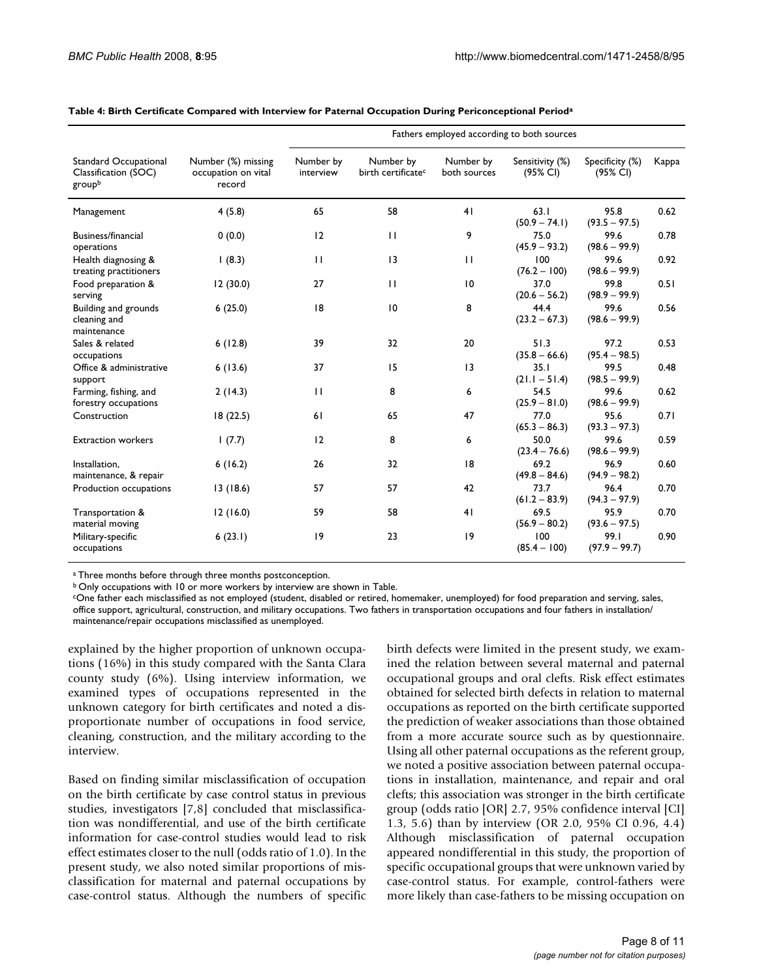|                                                         |                                                     | Fathers employed according to both sources |                                             |                           |                             |                             |       |  |  |  |
|---------------------------------------------------------|-----------------------------------------------------|--------------------------------------------|---------------------------------------------|---------------------------|-----------------------------|-----------------------------|-------|--|--|--|
| Standard Occupational<br>Classification (SOC)<br>groupb | Number (%) missing<br>occupation on vital<br>record | Number by<br>interview                     | Number by<br>birth certificate <sup>c</sup> | Number by<br>both sources | Sensitivity (%)<br>(95% CI) | Specificity (%)<br>(95% CI) | Kappa |  |  |  |
| Management                                              | 4(5.8)                                              | 65                                         | 58                                          | 41                        | 63.1<br>$(50.9 - 74.1)$     | 95.8<br>$(93.5 - 97.5)$     | 0.62  |  |  |  |
| Business/financial<br>operations                        | 0(0.0)                                              | 12                                         | $\mathbf{H}$                                | 9                         | 75.0<br>$(45.9 - 93.2)$     | 99.6<br>$(98.6 - 99.9)$     | 0.78  |  |  |  |
| Health diagnosing &<br>treating practitioners           | (8.3)                                               | $\mathbf{H}$                               | 13                                          | $\mathbf{H}$              | 100<br>$(76.2 - 100)$       | 99.6<br>$(98.6 - 99.9)$     | 0.92  |  |  |  |
| Food preparation &<br>serving                           | 12(30.0)                                            | 27                                         | $\mathbf{H}$                                | $\overline{10}$           | 37.0<br>$(20.6 - 56.2)$     | 99.8<br>$(98.9 - 99.9)$     | 0.51  |  |  |  |
| Building and grounds<br>cleaning and<br>maintenance     | 6(25.0)                                             | 18                                         | 10                                          | 8                         | 44.4<br>$(23.2 - 67.3)$     | 99.6<br>$(98.6 - 99.9)$     | 0.56  |  |  |  |
| Sales & related<br>occupations                          | 6(12.8)                                             | 39                                         | 32                                          | 20                        | 51.3<br>$(35.8 - 66.6)$     | 97.2<br>$(95.4 - 98.5)$     | 0.53  |  |  |  |
| Office & administrative<br>support                      | 6(13.6)                                             | 37                                         | 15                                          | $\overline{13}$           | 35.1<br>$(21.1 - 51.4)$     | 99.5<br>$(98.5 - 99.9)$     | 0.48  |  |  |  |
| Farming, fishing, and<br>forestry occupations           | 2(14.3)                                             | $\mathbf{H}$                               | 8                                           | 6                         | 54.5<br>$(25.9 - 81.0)$     | 99.6<br>$(98.6 - 99.9)$     | 0.62  |  |  |  |
| Construction                                            | 18(22.5)                                            | 61                                         | 65                                          | 47                        | 77.0<br>$(65.3 - 86.3)$     | 95.6<br>$(93.3 - 97.3)$     | 0.71  |  |  |  |
| <b>Extraction workers</b>                               | 1(7.7)                                              | 12                                         | 8                                           | 6                         | 50.0<br>$(23.4 - 76.6)$     | 99.6<br>$(98.6 - 99.9)$     | 0.59  |  |  |  |
| Installation,<br>maintenance, & repair                  | 6(16.2)                                             | 26                                         | 32                                          | 8                         | 69.2<br>$(49.8 - 84.6)$     | 96.9<br>$(94.9 - 98.2)$     | 0.60  |  |  |  |
| Production occupations                                  | 13(18.6)                                            | 57                                         | 57                                          | 42                        | 73.7<br>$(61.2 - 83.9)$     | 96.4<br>$(94.3 - 97.9)$     | 0.70  |  |  |  |
| Transportation &<br>material moving                     | 12(16.0)                                            | 59                                         | 58                                          | 41                        | 69.5<br>$(56.9 - 80.2)$     | 95.9<br>$(93.6 - 97.5)$     | 0.70  |  |  |  |
| Military-specific<br>occupations                        | 6(23.1)                                             | 9                                          | 23                                          | $ 9\rangle$               | 100<br>$(85.4 - 100)$       | 99.I<br>$(97.9 - 99.7)$     | 0.90  |  |  |  |

#### **Table 4: Birth Certificate Compared with Interview for Paternal Occupation During Periconceptional Perioda**

a Three months before through three months postconception.

b Only occupations with 10 or more workers by interview are shown in Table.

cOne father each misclassified as not employed (student, disabled or retired, homemaker, unemployed) for food preparation and serving, sales, office support, agricultural, construction, and military occupations. Two fathers in transportation occupations and four fathers in installation/ maintenance/repair occupations misclassified as unemployed.

explained by the higher proportion of unknown occupations (16%) in this study compared with the Santa Clara county study (6%). Using interview information, we examined types of occupations represented in the unknown category for birth certificates and noted a disproportionate number of occupations in food service, cleaning, construction, and the military according to the interview.

Based on finding similar misclassification of occupation on the birth certificate by case control status in previous studies, investigators [7,8] concluded that misclassification was nondifferential, and use of the birth certificate information for case-control studies would lead to risk effect estimates closer to the null (odds ratio of 1.0). In the present study, we also noted similar proportions of misclassification for maternal and paternal occupations by case-control status. Although the numbers of specific birth defects were limited in the present study, we examined the relation between several maternal and paternal occupational groups and oral clefts. Risk effect estimates obtained for selected birth defects in relation to maternal occupations as reported on the birth certificate supported the prediction of weaker associations than those obtained from a more accurate source such as by questionnaire. Using all other paternal occupations as the referent group, we noted a positive association between paternal occupations in installation, maintenance, and repair and oral clefts; this association was stronger in the birth certificate group (odds ratio [OR] 2.7, 95% confidence interval [CI] 1.3, 5.6) than by interview (OR 2.0, 95% CI 0.96, 4.4) Although misclassification of paternal occupation appeared nondifferential in this study, the proportion of specific occupational groups that were unknown varied by case-control status. For example, control-fathers were more likely than case-fathers to be missing occupation on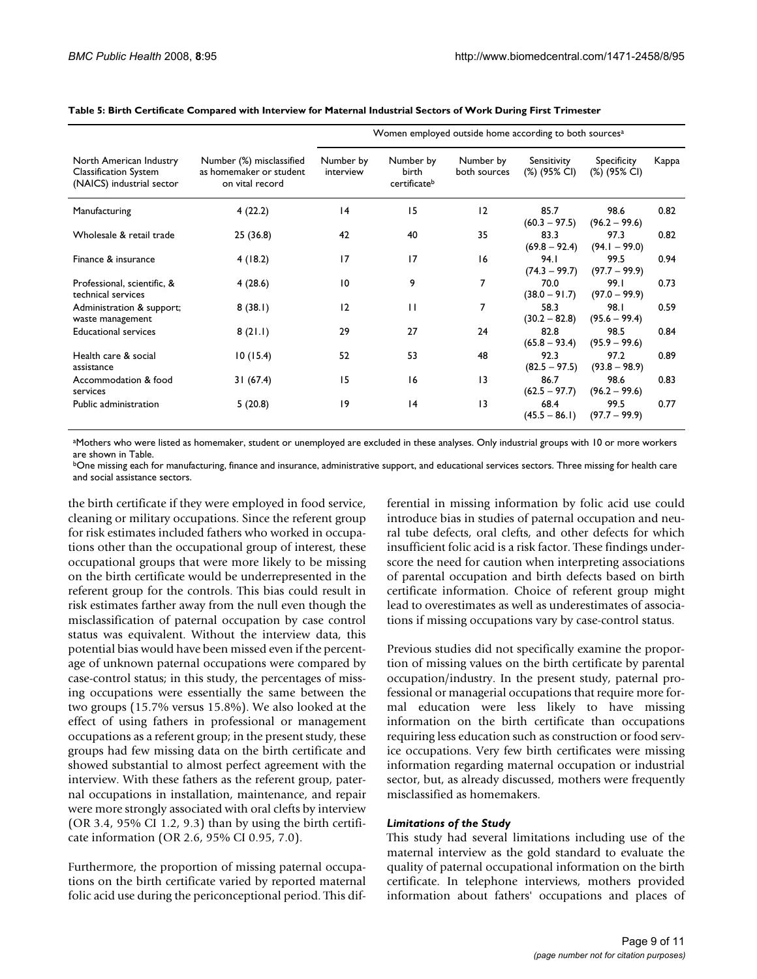|                                                                                      | Women employed outside home according to both sources <sup>a</sup>     |                        |                                           |                           |                             |                             |       |  |  |
|--------------------------------------------------------------------------------------|------------------------------------------------------------------------|------------------------|-------------------------------------------|---------------------------|-----------------------------|-----------------------------|-------|--|--|
| North American Industry<br><b>Classification System</b><br>(NAICS) industrial sector | Number (%) misclassified<br>as homemaker or student<br>on vital record | Number by<br>interview | Number by<br><b>birth</b><br>certificateb | Number by<br>both sources | Sensitivity<br>(%) (95% CI) | Specificity<br>(%) (95% CI) | Kappa |  |  |
| Manufacturing                                                                        | 4(22.2)                                                                | 4                      | 15                                        | 12                        | 85.7<br>$(60.3 - 97.5)$     | 98.6<br>$(96.2 - 99.6)$     | 0.82  |  |  |
| Wholesale & retail trade                                                             | 25(36.8)                                                               | 42                     | 40                                        | 35                        | 83.3<br>$(69.8 - 92.4)$     | 97.3<br>$(94.1 - 99.0)$     | 0.82  |  |  |
| Finance & insurance                                                                  | 4(18.2)                                                                | 17                     | 17                                        | 16                        | 94.1<br>$(74.3 - 99.7)$     | 99.5<br>$(97.7 - 99.9)$     | 0.94  |  |  |
| Professional, scientific, &<br>technical services                                    | 4(28.6)                                                                | 10                     | 9                                         | 7                         | 70.0<br>$(38.0 - 91.7)$     | 99.1<br>$(97.0 - 99.9)$     | 0.73  |  |  |
| Administration & support;<br>waste management                                        | 8(38.1)                                                                | 12                     | $\mathbf{H}$                              | 7                         | 58.3<br>$(30.2 - 82.8)$     | 98.1<br>$(95.6 - 99.4)$     | 0.59  |  |  |
| <b>Educational services</b>                                                          | 8(21.1)                                                                | 29                     | 27                                        | 24                        | 82.8<br>$(65.8 - 93.4)$     | 98.5<br>$(95.9 - 99.6)$     | 0.84  |  |  |
| Health care & social<br>assistance                                                   | 10(15.4)                                                               | 52                     | 53                                        | 48                        | 92.3<br>$(82.5 - 97.5)$     | 97.2<br>$(93.8 - 98.9)$     | 0.89  |  |  |
| Accommodation & food<br>services                                                     | 31 (67.4)                                                              | 15                     | 16                                        | 13                        | 86.7<br>$(62.5 - 97.7)$     | 98.6<br>$(96.2 - 99.6)$     | 0.83  |  |  |
| Public administration                                                                | 5(20.8)                                                                | 19                     | 4                                         | $\overline{13}$           | 68.4<br>$(45.5 - 86.1)$     | 99.5<br>$(97.7 - 99.9)$     | 0.77  |  |  |

#### **Table 5: Birth Certificate Compared with Interview for Maternal Industrial Sectors of Work During First Trimester**

aMothers who were listed as homemaker, student or unemployed are excluded in these analyses. Only industrial groups with 10 or more workers are shown in Table.

bOne missing each for manufacturing, finance and insurance, administrative support, and educational services sectors. Three missing for health care and social assistance sectors.

the birth certificate if they were employed in food service, cleaning or military occupations. Since the referent group for risk estimates included fathers who worked in occupations other than the occupational group of interest, these occupational groups that were more likely to be missing on the birth certificate would be underrepresented in the referent group for the controls. This bias could result in risk estimates farther away from the null even though the misclassification of paternal occupation by case control status was equivalent. Without the interview data, this potential bias would have been missed even if the percentage of unknown paternal occupations were compared by case-control status; in this study, the percentages of missing occupations were essentially the same between the two groups (15.7% versus 15.8%). We also looked at the effect of using fathers in professional or management occupations as a referent group; in the present study, these groups had few missing data on the birth certificate and showed substantial to almost perfect agreement with the interview. With these fathers as the referent group, paternal occupations in installation, maintenance, and repair were more strongly associated with oral clefts by interview (OR 3.4,  $95\%$  CI 1.2, 9.3) than by using the birth certificate information (OR 2.6, 95% CI 0.95, 7.0).

Furthermore, the proportion of missing paternal occupations on the birth certificate varied by reported maternal folic acid use during the periconceptional period. This differential in missing information by folic acid use could introduce bias in studies of paternal occupation and neural tube defects, oral clefts, and other defects for which insufficient folic acid is a risk factor. These findings underscore the need for caution when interpreting associations of parental occupation and birth defects based on birth certificate information. Choice of referent group might lead to overestimates as well as underestimates of associations if missing occupations vary by case-control status.

Previous studies did not specifically examine the proportion of missing values on the birth certificate by parental occupation/industry. In the present study, paternal professional or managerial occupations that require more formal education were less likely to have missing information on the birth certificate than occupations requiring less education such as construction or food service occupations. Very few birth certificates were missing information regarding maternal occupation or industrial sector, but, as already discussed, mothers were frequently misclassified as homemakers.

#### *Limitations of the Study*

This study had several limitations including use of the maternal interview as the gold standard to evaluate the quality of paternal occupational information on the birth certificate. In telephone interviews, mothers provided information about fathers' occupations and places of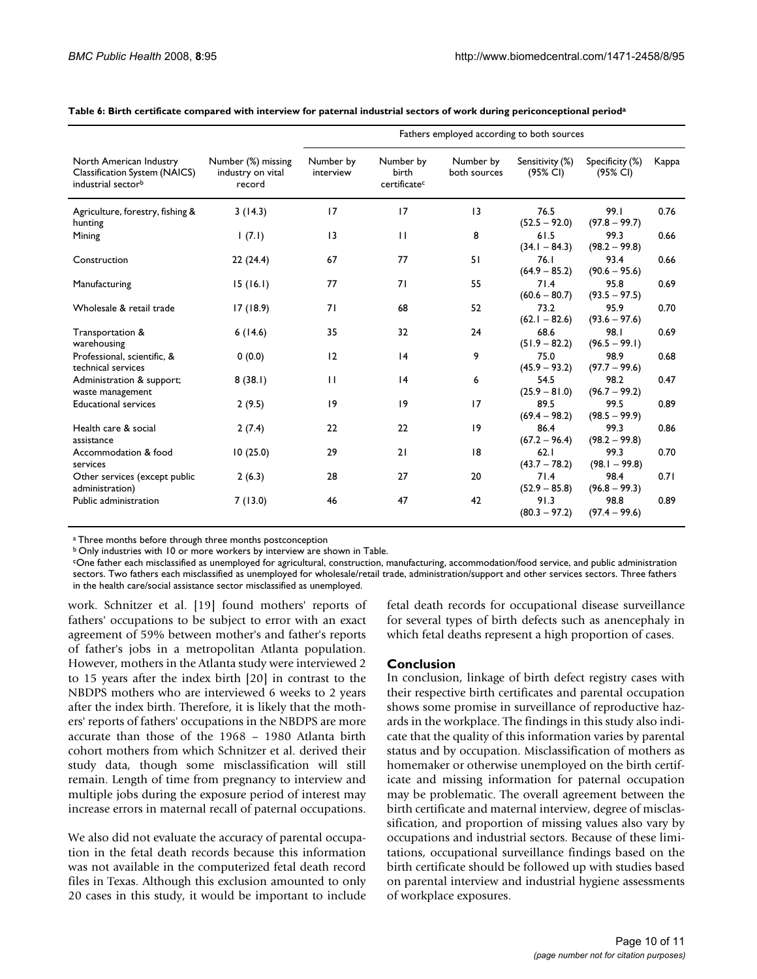|                                                                                       |                                                   | Fathers employed according to both sources |                                                |                           |                             |                             |       |  |  |
|---------------------------------------------------------------------------------------|---------------------------------------------------|--------------------------------------------|------------------------------------------------|---------------------------|-----------------------------|-----------------------------|-------|--|--|
| North American Industry<br><b>Classification System (NAICS)</b><br>industrial sectorb | Number (%) missing<br>industry on vital<br>record | Number by<br>interview                     | Number by<br>birth<br>certificate <sup>c</sup> | Number by<br>both sources | Sensitivity (%)<br>(95% CI) | Specificity (%)<br>(95% CI) | Kappa |  |  |
| Agriculture, forestry, fishing &<br>hunting                                           | 3(14.3)                                           | 17                                         | 17                                             | 13                        | 76.5<br>$(52.5 - 92.0)$     | 99.I<br>$(97.8 - 99.7)$     | 0.76  |  |  |
| Mining                                                                                | (7.1)                                             | $\overline{13}$                            | $\mathbf{H}$                                   | 8                         | 61.5<br>$(34.1 - 84.3)$     | 99.3<br>$(98.2 - 99.8)$     | 0.66  |  |  |
| Construction                                                                          | 22(24.4)                                          | 67                                         | 77                                             | 51                        | 76.I<br>$(64.9 - 85.2)$     | 93.4<br>$(90.6 - 95.6)$     | 0.66  |  |  |
| Manufacturing                                                                         | 15(16.1)                                          | 77                                         | 71                                             | 55                        | 71.4<br>$(60.6 - 80.7)$     | 95.8<br>$(93.5 - 97.5)$     | 0.69  |  |  |
| Wholesale & retail trade                                                              | 17(18.9)                                          | 71                                         | 68                                             | 52                        | 73.2<br>$(62.1 - 82.6)$     | 95.9<br>$(93.6 - 97.6)$     | 0.70  |  |  |
| Transportation &<br>warehousing                                                       | 6(14.6)                                           | 35                                         | 32                                             | 24                        | 68.6<br>$(51.9 - 82.2)$     | 98.I<br>$(96.5 - 99.1)$     | 0.69  |  |  |
| Professional, scientific, &<br>technical services                                     | 0(0.0)                                            | 12                                         | 4                                              | 9                         | 75.0<br>$(45.9 - 93.2)$     | 98.9<br>$(97.7 - 99.6)$     | 0.68  |  |  |
| Administration & support;<br>waste management                                         | 8(38.1)                                           | $\mathbf{H}$                               | 4                                              | 6                         | 54.5<br>$(25.9 - 81.0)$     | 98.2<br>$(96.7 - 99.2)$     | 0.47  |  |  |
| <b>Educational services</b>                                                           | 2(9.5)                                            | 19                                         | 19                                             | 17                        | 89.5<br>$(69.4 - 98.2)$     | 99.5<br>$(98.5 - 99.9)$     | 0.89  |  |  |
| Health care & social<br>assistance                                                    | 2(7.4)                                            | 22                                         | 22                                             | 19                        | 86.4<br>$(67.2 - 96.4)$     | 99.3<br>$(98.2 - 99.8)$     | 0.86  |  |  |
| Accommodation & food<br>services                                                      | 10(25.0)                                          | 29                                         | 21                                             | 18                        | 62.1<br>$(43.7 - 78.2)$     | 99.3<br>$(98.1 - 99.8)$     | 0.70  |  |  |
| Other services (except public<br>administration)                                      | 2(6.3)                                            | 28                                         | 27                                             | 20                        | 71.4<br>$(52.9 - 85.8)$     | 98.4<br>$(96.8 - 99.3)$     | 0.71  |  |  |
| Public administration                                                                 | 7(13.0)                                           | 46                                         | 47                                             | 42                        | 91.3<br>$(80.3 - 97.2)$     | 98.8<br>$(97.4 - 99.6)$     | 0.89  |  |  |

**Table 6: Birth certificate compared with interview for paternal industrial sectors of work during periconceptional perioda**

a Three months before through three months postconception

b Only industries with 10 or more workers by interview are shown in Table.

cOne father each misclassified as unemployed for agricultural, construction, manufacturing, accommodation/food service, and public administration sectors. Two fathers each misclassified as unemployed for wholesale/retail trade, administration/support and other services sectors. Three fathers in the health care/social assistance sector misclassified as unemployed.

work. Schnitzer et al. [19] found mothers' reports of fathers' occupations to be subject to error with an exact agreement of 59% between mother's and father's reports of father's jobs in a metropolitan Atlanta population. However, mothers in the Atlanta study were interviewed 2 to 15 years after the index birth [20] in contrast to the NBDPS mothers who are interviewed 6 weeks to 2 years after the index birth. Therefore, it is likely that the mothers' reports of fathers' occupations in the NBDPS are more accurate than those of the 1968 – 1980 Atlanta birth cohort mothers from which Schnitzer et al. derived their study data, though some misclassification will still remain. Length of time from pregnancy to interview and multiple jobs during the exposure period of interest may increase errors in maternal recall of paternal occupations.

We also did not evaluate the accuracy of parental occupation in the fetal death records because this information was not available in the computerized fetal death record files in Texas. Although this exclusion amounted to only 20 cases in this study, it would be important to include fetal death records for occupational disease surveillance for several types of birth defects such as anencephaly in which fetal deaths represent a high proportion of cases.

# **Conclusion**

In conclusion, linkage of birth defect registry cases with their respective birth certificates and parental occupation shows some promise in surveillance of reproductive hazards in the workplace. The findings in this study also indicate that the quality of this information varies by parental status and by occupation. Misclassification of mothers as homemaker or otherwise unemployed on the birth certificate and missing information for paternal occupation may be problematic. The overall agreement between the birth certificate and maternal interview, degree of misclassification, and proportion of missing values also vary by occupations and industrial sectors. Because of these limitations, occupational surveillance findings based on the birth certificate should be followed up with studies based on parental interview and industrial hygiene assessments of workplace exposures.